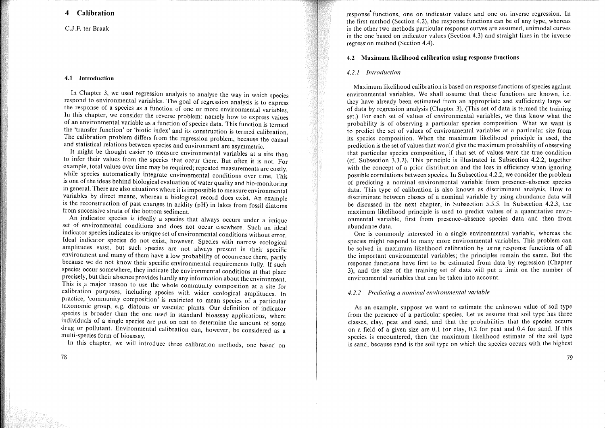# **4 Calibration**

C.J.F. ter Braak

#### **4.1 Introduction**

In Chapter 3, we used regression analysis to analyse the way in which species respond to environmental variables. The goal of regression analysis is to express the response of a species as a function of one or more environmental variables. In this chapter, we consider the reverse problem: namely how to express values of an environmental variable as a function of species data. This function is termed the 'transfer function' or 'biotic index' and its construction is termed calibration The calibration problem differs from the regression problem, because the causal and statistical relations between species and environment are asymmetric.

It might be thought easier to measure environmental variables at a site than to infer their values from the species that occur there. But often it is not. For example, total values over time may be required; repeated measurements are costly, while species automatically integrate environmental conditions over time. This is one of the ideas behind biological evaluation of water quality and bio-monitoring in general. There are also situations where it is impossible to measure environmental variables by direct means, whereas a biological record does exist. An example is the reconstruction of past changes in acidity (pH) in lakes from fossil diatoms from successive strata of the bottom sediment.

An indicator species is ideally a species that always occurs under a unique set of environmental conditions and does not occur elsewhere. Such an ideal indicator species indicates its unique set of environmental conditions without error Ideal indicator species do not exist, however. Species with narrow ecological amplitudes exist, but such species are not always present in their specific environment and many of them have a low probability of occurrence there, partly because we do not know their specific environmental requirements fully. If such species occur somewhere, they indicate the environmental conditions at that place precisely, but their absence provides hardly any information about the environment. This is a major reason to use the whole community composition at a site for calibration purposes, including species with wider ecological amplitudes. In practice, 'community composition' is restricted to mean species of a particular taxonomic group, e.g. diatoms or vascular plants. Our definition of indicator species is broader than the one used in standard bioassay applications, where individuals of a single species are put on test to determine the amount of some drug or pollutant. Environmental calibration can, however, be considered as a multi-species form of bioassay.

In this chapter, we will introduce three calibration methods, one based on

response· functions, one on indicator values and one on inverse regression. In the first method (Section 4.2), the response functions can be of any type, whereas in the other two methods particular response curves are assumed, unimodal curves in the one based on indicator values (Section 4.3) and straight lines in the inverse regression method (Section 4.4).

## **4.2 Maximum likelihood calibration using response functions**

### *4.2.1 Introduction*

Maximum likelihood calibration is based on response functions of species against environmental variables. We shall assume that these functions are known, i.e. they have already been estimated from an appropriate and sufficiently large set of data by regression analysis (Chapter 3). (This set of data is termed the training set.) For each set of values of environmental variables, we thus know what the probability is of observing a particular species composition. What we want is to predict the set of values of environmental variables at a particular site from its species composition. When the maximum likelihood principle is used, the prediction is the set of values that would give the maximum probability of observing that particular species composition, if that set of values were the true condition (cf. Subsection 3.3.2). This principle is illustrated in Subsection 4.2.2, together with the concept of a prior distribution and the loss in efficiency when ignoring possible correlations between species. In Subsection 4.2.2, we consider the problem of predicting a nominal environmental variable from presence-absence species data. This type of calibration is also known as discriminant analysis. How to discriminate between classes of a nominal variable by using abundance data will be discussed in the next chapter, in Subsection 5.5.5. In Subsection 4.2.3, the maximum likelihood principle is used to predict values of a quantitative environmental variable, first from presence-absence species data and then from abundance data.

One is commonly interested in a single environmental variable, whereas the species might respond to many more environmental variables. This problem can be solved in maximum likelihood calibration by using response functions of all the important environmental variables; the principles remain the same. But the response functions have first to be estimated from data by regression (Chapter 3), and the size of the training set of data will put a limit on the number of environmental variables that can be taken into account.

### *4.2.2 Predicting a nominal environmental variable*

As an example, suppose we want to estimate the unknown value of soil type from the presence of a particular species. Let us assume that soil type has three classes, clay, peat and sand, and that the probabilities that the species occurs on a field of a given size are 0.1 for clay, 0.2 for peat and 0.4 for sand. If this species is encountered, then the maximum likelihood estimate of the soil type is sand, because sand is the soil type on which the species occurs with the highest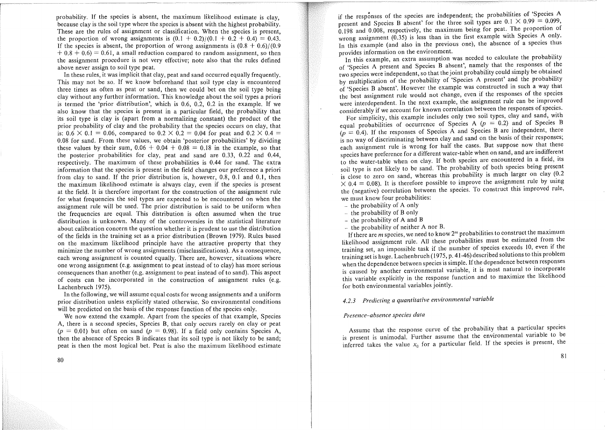probability. If the species is absent, the maximum likelihood estimate is clay. because clay IS the soil type where the species is absent with the highest probability. These are the rules of assignment or classification. When the species is present, the proportion of wrong assignments is  $(0.1 + 0.2)/(0.1 + 0.2 + 0.4) = 0.43$ . If the species is absent, the proportion of wrong assignments is  $(0.8 + 0.6)/(0.9)$  $+ 0.8 + 0.6$  = 0.61, a small reduction compared to random assignment, so then the assignment procedure is not very effective; note also that the rules defined above never assign to soil type peat.

- ---- -- ------~~ -~~~-

In these rules, it was implicit that clay, peat and sand occurred equally frequently. This may not be so. If we know beforehand that soil type clay is encountered three times as often as peat or sand, then we could bet on the soil type being clay without any further information. This knowledge about the soil types a priori is termed the 'prior distribution', which is 0.6, 0.2, 0.2 in the example. If we also know that the species is present in a particular field, the probability that its soil type is clay is (apart from a normalizing constant) the product of the prior probability of clay and the probability that the species occurs on clay, that is:  $0.6 \times 0.1 = 0.06$ , compared to  $0.2 \times 0.2 = 0.04$  for peat and  $0.2 \times 0.4 =$  $0.08$  for sand. From these values, we obtain 'posterior probabilities' by dividing these values by their sum,  $0.06 + 0.04 + 0.08 = 0.18$  in the example, so that the posterior probabilities for clay, peat and sand are 0.33, 0.22 and 0.44, respectively. The maximum of these probabilities is 0.44 for sand. The extra information that the species is present in the field changes our preference a priori from clay to sand. If the prior distribution is, however, 0.8, 0.1 and 0.1, then the maximum likelihood estimate is always clay, even if the species is present at the field. It is therefore important for the construction of the assignment rule for what frequencies the soil types are expected to be encountered on when the assignment rule will be used. The prior distribution is said to be uniform when the frequencies are equal. This distribution is often assumed when the true distribution is unknown. Many of the controversies in the statistical literature about calibration concern the question whether it is prudent to use the distribution of the fields in the training set as a prior distribution (Brown 1979). Rules based on the maximum likelihood principle have the attractive property that they minimize the number of wrong assignments (misclassifications). As a consequence, each wrong assignment is counted equally. There are, however, situations where one wrong assignment (e.g. assignment to peat instead of to clay) has more serious consequences than another (e.g. assignment to peat instead of to sand). This aspect of costs can be incorporated in the construction of assignment rules (e.g. Lachenbruch 1975).

In the following, we will assume equal costs for wrong assignments and a uniform prior distribution unless explicitly stated otherwise. So environmental conditions will be predicted on the basis of the response function of the species only.

We now extend the example. Apart from the species of that example. Species A, there is a second species, Species B, that only occurs rarely on clay or peat  $(p = 0.01)$  but often on sand  $(p = 0.98)$ . If a field only contains Species A, then the absence of Species B indicates that its soil type is not likely to be sand; peat is then the most logical bet. Peat is also the maximum likelihood estimate

80

if the responses of the species are independent; the probabilities of 'Species A present and Species B absent' for the three soil types are  $0.1 \times 0.99 = 0.099$ ,  $0.198$  and  $0.008$ , respectively, the maximum being for peat. The proportion of wrong assignment (0.35) is less than in the first example with Species A only. In this example (and also in the previous one), the absence of a species thus provides information on the environment.

In this example, an extra assumption was needed to calculate the probability of 'Species A present and Species B absent', namely that the responses of the two species were independent, so that the joint probability could simply be obtained by multiplication of the probability of 'Species A present' and the probability of 'Species B absent'. However the example was constructed in such a way that the best assignment rule would not change, even if the responses of the species were interdependent. In the next example, the assignment rule can be improved considerably if we account for known correlation between the responses of species.

For simplicity, this example includes only two soil types, clay and sand, with equal probabilities of occurrence of Species A  $(p = 0.2)$  and of Species B  $(p = 0.4)$ . If the responses of Species A and Species B are independent, there is no way of discriminating between clay and sand on the basis of their responses; each assignment rule is wrong for half the cases. But suppose now that these species have preference for a different water-table when on sand, and are indifferent to the water-table when on clay. If both species are encountered in a field, its soil type is not likely to be sand. The probability of both species being present is close to zero on sand, whereas this probability is much larger on clay (0.2  $\times$  0.4 = 0.08). It is therefore possible to improve the assignment rule by using the (negative) correlation between the species. To construct this improved rule, we must know four probabilities:

- $-$  the probability of A only
- the probability of B only
- the probability of A and B
- $-$  the probability of neither A nor B.

If there are  $m$  species, we need to know  $2<sup>m</sup>$  probabilities to construct the maximum likelihood assignment nile. All these probabilities must be estimated from the training set, an impossible task if the number of species exceeds 10, even if the training set is huge. Lachenbruch ( 1975, p. 41-46) described solutions to this problem when the dependence between species is simple. If the dependence between responses is caused by another environmental variable, it is most natural to incorporate this variable explicitly in the response function and to maximize the likelihood for both environmental variables jointly.

# *4.2.3 Predicting a quantitative environmental variable*

#### *Presence-absence species data*

Assume that the response curve of the probability that a particular species is present is unimodal. Further assume that the environmental variable to be inferred takes the value  $x_0$  for a particular field. If the species is present, the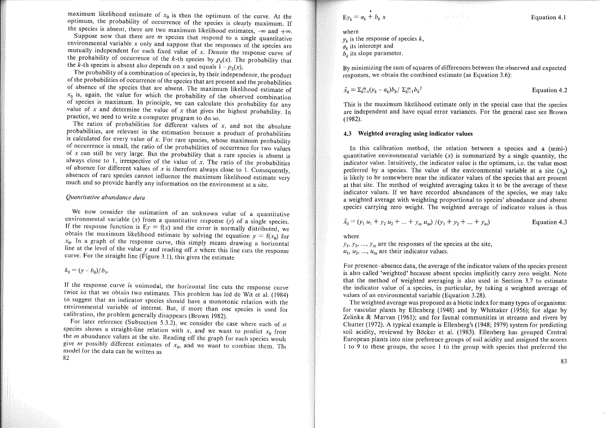maximum likelihood estimate of  $x_0$  is then the optimum of the curve. At the optimum, the probability of occurrence of the species is clearly maximum. If the species is absent, there are two maximum likelihood estimates,  $-\infty$  and  $+\infty$ .

Suppose now that there are  $m$  species that respond to a single quantitative environmental variable *x* only and suppose that the responses of the species are mutually independent for each fixed value of *x.* Denote the response curve of the probability of occurrence of the *k*-th species by  $p_k(x)$ . The probability that the  $k$ -th species is absent also depends on x and equals  $\hat{I} - p_k(x)$ .

The probability of a combination of species is, by their independence, the product of the probabilities of occurrence of the species that are present and the probabilities of absence of the species that are absent. The maximum likelihood estimate of  $x_0$  is, again, the value for which the probability of the observed combination of species is *maximum:* In principle, we can calculate this probability for any value of *x* and determine the value of *x* that gives the highest probability. In practice, we need to write a computer program to do so.

The ratios of probabilities for different values of *x,* and not the absolute probabilities, are relevant in the estimation because a product of probabilities is calculated for every value of *x.* For rare species, whose maximum probability of occurrence is small, the ratio of the probabilities of occurrence for two values of *x* can still be very large. But the probability that a rare species is absent is always close to I, irrespective of the value of *x.* The ratio of the probabilities of absence for different values of  $x$  is therefore always close to 1. Consequently, absences of rare species cannot influence the maximum likelihood estimate very much and so provide hardly any information on the environment at a site.

### *Quantitative abundance data*

We now consider the estimation of an unknown value of a quantitative environmental variable  $(x)$  from a quantitative response  $(y)$  of a single species. If the response function is  $E_y = f(x)$  and the error is normally distributed, we obtain the maximum likelihood estimate by solving the equation  $y = f(x_0)$  for *x*<sub>0</sub>. In a graph of the response curve, this simply means drawing a horizontal line at the level of the value *y* and reading off *x* where this line cuts the response curve. For the straight line (Figure 3.1), this gives the estimate

## $\hat{x}_0 = (y - b_0)/b_1$ .

If the response curve is unimodal, the horizontal line cuts the response curve twice so that we obtain two estimates. This problem has led de Wit et al. (1984) to suggest that an indicator species should have a monotonic relation with the environmental variable of interest. But, if more than one species is used for calibration, the problem generally disappears (Brown 1982).

For later reference (Subsection 5.3.2), we consider the case where each of  $n_i$ species shows a straight-line relation with *x*, and we want to predict  $x_0$  from the *m* abundance values at the site. Reading off the graph for each species woulc give *m* possibly different estimates of  $x_0$ , and we want to combine them. The model for the data can be written as 82

 $E y_k = a_k + b_k x$ 

Equation **4.1** 

where  $v_k$  is the response of species k,  $a_k$  its intercept and

 $b<sub>k</sub>$  its slope parameter.

By minimizing the sum of squares of differences between the observed and expected responses, we obtain the combined estimate (as Equation 3.6):

$$
\hat{x}_0 = \sum_{k=1}^m (y_k - a_k) b_k / \sum_{k=1}^m b_k^2
$$
 Equation 4.2

This is the maximum likelihood estimate only in the special case that the species are independent and have equal error variances. For the general case see Brown (1982).

### **4.3 Weighted averaging using indicator values**

In this calibration method, the relation between a species and a (semi-) quantitative environmental variable  $(x)$  is summarized by a single quantity, the indicator value. Intuitively, the indicator value is the optimum, i.e. the value most preferred by a species. The value of the environmental variable at a site  $(x_0)$ is likely to be somewhere near the indicator values of the species that are present at that site. The method of weighted averaging takes it to be the average of these indicator values. If we have recorded abundances of the species, we may take a weighted average with weighting proportional to species' abundance and absent species carrying zero weight. The weighted average of indicator values is thus

$$
\hat{x}_0 = (y_1 u_1 + y_2 u_2 + \dots + y_m u_m) / (y_1 + y_2 + \dots + y_m)
$$
 Equation 4.3

where

 $y_1, y_2, ..., y_m$  are the responses of the species at the site,  $u_1, u_2, ..., u_m$  are their indicator values.

For presence-absence data, the average of the indicator values of the species present is also called 'weighted' because absent species implicitly carry zero weight. Note that the method of weighted averaging is also used in Section 3.7 to estimate the indicator value of a species, in particular, by taking a weighted average of values of an environmental variable (Equation 3.28).

The weighted average was proposed as a biotic index for many types of organisms: for vascular plants by Ellenberg (1948) and by Whittaker (1956); for algae by Zelinka & Marvan (1961); and for faunal communities in streams and rivers by Chutter (1972). A typical example is Ellenberg's (1948; 1979) system for predicting soil acidity, reviewed by Böcker et al. (1983). Ellenberg has grouped Central European plants into nine preference groups of soil acidity and assigned the scores 1 to 9 to these groups, the score 1 to the group with species that preferred the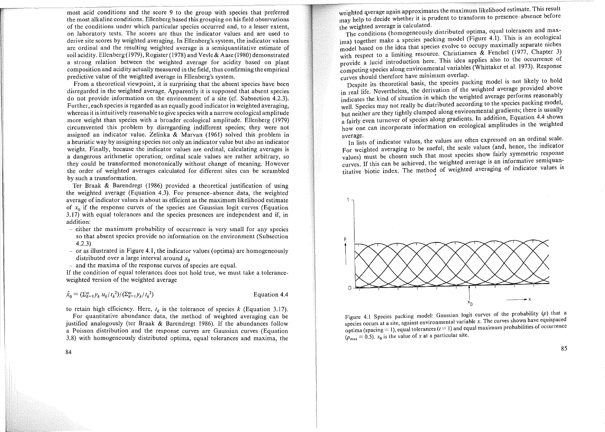most acid conditions and the score 9 to the group with species that preferred the most alkaline conditions. Ellenberg based this grouping on his field observations of the conditions under which particular species occurred and, to a lesser extent, on laboratory tests. The scores are thus the indicator values and are used to derive site scores by weighted averaging. In Ellenberg's system, the indicator values are ordinal and the resulting weighted average is a semiquantitative estimate of soil acidity. Ellenberg ( 1979), Rogister ( 1978) and Vevle & Aase (1980) demonstrated a strong relation between the weighted average for acidity based on plant composition and acidity actually measured in the field, thus confirming the empirical predictive value of the weighted average in Ellenberg's system.

From a theoretical viewpoint, it is surprising that the absent species have been disregarded in the weighted average, Apparently it is supposed that absent species do not provide information on the environment of a site (cf. Subsection 4.2.3). Further, each species is regarded as an equally good indicator in weighted averaging, whereas it is intuitively reasonable to give species with a narrow ecological amplitude more weight than species with a broader ecological amplitude. Ellenberg (1979) circumvented this problem by disregarding indifferent species; they were not assigned an indicator value. Zelinka & Marvan (1961) solved this problem in a heuristic way by assigning species not only an indicator value but also an indicator weight. Finally, because the indicator values are ordinal, calculating averages is a dangerous arithmetic operation; ordinal scale values are rather arbitrary, so they could be transformed monotonically without change of meaning. However the order of weighted averages calculated for different sites can be scrambled by such a transformation.

Ter Braak & Barendregt (1986) provided a theoretical justification of using the weighted average (Equation 4.3). For presence-absence data, the weighted average of indicator values is about as efficient as the maximum likelihood estimate of  $x_0$  if the response curves of the species are Gaussian logit curves (Equation 3.17) with equal tolerances and the species presences are independent and if, in addition:

- either the maximum probability of occurrence is very small for any species so that absent species provide no information on the environment (Subsection 4.2.3)
- $-$  or as illustrated in Figure 4.1, the indicator values (optima) are homogeneously distributed over a large interval around  $x_0$
- and the maxima of the response curves of species are equal.

If the condition of equal tolerances does not hold true, we must take a toleranceweighted version of the weighted average

$$
\hat{x}_0 = (\sum_{k=1}^m y_k u_k / t_k^2) / (\sum_{k=1}^m y_k / t_k^2)
$$

Equation 4.4

to retain high efficiency. Here,  $t_k$  is the tolerance of species k (Equation 3.17).

For quantitative abundance data, the method of weighted averaging can be justified analogously (ter Braak & Barendregt 1986). If the abundances follow a Poisson distribution· and the response curves are Gaussian curves (Equation 3.8) with homogeneously distributed optima, equal tolerances and maxima, the

84

~-------- ---------

 $\mathbb{R}$  weighted average again approximates the maximum likelihood estimate. This result may help to decide whether it is prudent to transform to presence-absence before the weighted average is calculated.

The conditions (homogeneously distributed optima, equal tolerances and max-<br>ima) together make a species packing model (Figure 4.1). This is an ecological model based on the idea that species evolve to occupy maximally separate niches with respect to a limiting resource. Christiansen  $\&$  Fenchel (1977, Chapter 3) provide a lucid introduction here. This idea applies also to the occurrence of competing species along environmental vanables (Whittaker et al. 1973). Response curves should therefore have minimum overlap.

Despite its theoretical basis, the species packing model is not likely to hold in real life. Nevertheless, the derivation of the weighted average provided above indicates the kind of situation in which the weighted average performs reasonably well. Species may not really be distributed according to the species packing model, but neither are they tightly clumped along environmental gradients; there is usually a fairly even turnover of species along gradients. In addition, Equation 4.4 shows how one can incorporate information on ecological amplitudes in the weighted

average. In lists of indicator values, the values are often expressed on an ordinal scale. For weighted averaging to be useful, the scale values (and, hence, the indicator values) must be chosen such that most species show fairly symmetric response curves. If this can be achieved, the weighted average is an informative semiquantitative biotic index. The method of weighted averaging of indicator values is



Figure 4.1 Species packing model: Gaussian logit curves of the probability  $(p)$  that a species occurs at a site, against environmental variable *x*. The curves shown have equispaced optima (spacing = 1), equal tolerances  $(t= 1)$  and equal maximum probabilities of occurrence  $(p_{\text{max}} = 0.5)$ .  $x_0$  is the value of x at a particular site.

85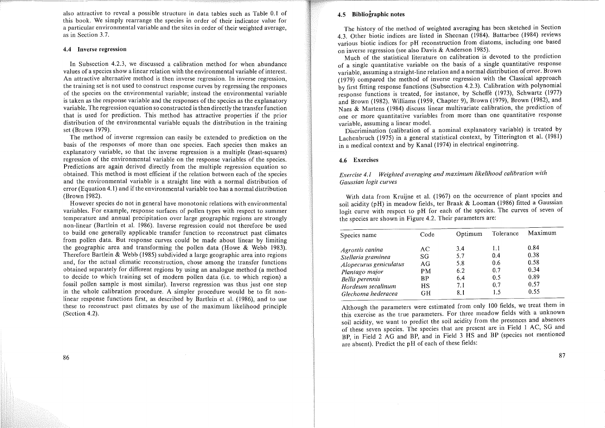also attractive to reveal a possible structure in data tables such as Table 0.1 of this book. We simply rearrange the species in order of their indicator value for a particular environmental variable and the sites in order of their weighted average, as in Section 3.7.

#### **4.4** Inverse regression

In Subsection 4.2.3, we discussed a calibration method for when abundance values of a species show a linear relation with the environmental variable of interest. An attractive alternative method is then inverse regression. In inverse regression, the training set is not used to construct response curves by regressing the responses of the species on the environmental variable; instead the environmental variable is taken as the response variable and the responses of the species as the explanatory variable. The regression equation so constructed is then directly the transfer function that is used for prediction. This method has attractive properties if the prior distribution of the environmental variable equals the distribution in the training set (Brown 1979).

The method of inverse regression can easily be extended to prediction on the basis of the responses of more than one species. Each species then makes an explanatory variable, so that the inverse regression is a multiple (least-squares) regression of the environmental variable on the response variables of the species. Predictions are again derived directly from the multiple regression equation so obtained. This method is most efficient if the relation between each of the species and the environmental variable is a straight line with a normal distribution of error (Equation 4.1) and if the environmental variable too has a normal distribution (Brown 1982).

However species do not in general have monotonic relations with environmental variables. For example, response surfaces of pollen types with respect to summer temperature and annual precipitation over large geographic regions are strongly non-linear (Bartlein et al. 1986). Inverse regression could not therefore be used to build one generally applicable transfer function to reconstruct past climates from pollen data. But response curves could be made about linear by limiting the geographic area and transforming the pollen data (Howe & Webb 1983). Therefore Bartlein & Webb (1985) subdivided a large geographic area into regions and, for the actual climatic reconstruction, chose among the transfer functions obtained separately for different regions by using an analogue method (a method to decide to which training set of modern pollen data (i.e. to which region) a fossil pollen sample is most similar). Inverse regression was thus just one step in the whole calibration procedure. A simpler procedure would be to fit nonlinear response functions first, as described by Bartlein et al. (1986), and to use these to reconstruct past climates by use of the maximum likelihood principle (Section 4.2).

## 4.5 **Bibliographic** notes

The history of the method of weighted averaging has been sketched in Section 4.3. Other biotic indices are listed in Sheenan (1984). Battarbee (1984) reviews various biotic indices for pH reconstruction from diatoms, including one based on inverse regression (see also Davis & Anderson 1985).

Much of the statistical literature on calibration is devoted to the prediction of a single quantitative variable on the basis of a single quantitative response variable, assuming a straight-line relation and a normal distribution of error. Brown (1979) compared the method of inverse regression with the Classical approach by first fitting response functions (Subsection 4.2.3). Calibration with polynomial response functions is treated, for instance, by Scheffe (1973), Schwartz (1977) and Brown (1982). Williams (1959, Chapter 9), Brown (1979), Brown (1982), and Naes & Martens (1984) discuss linear multivariate calibration, the prediction of one or more quantitative variables from more than one quantitative response variable, assuming a linear model.

Discrimination (calibration of a nominal explanatory variable) is treated by Lachenbruch (1975) in a general statistical context, by Titterington et a!. (1981) in a medical context and by Kanal (1974) in electrical engineering.

## 4.6 Exercises

*Exercise 4.1 Weighted averaging and maximum likelihood calibration with Gaussian logit curves* 

With data from Kruijne et al. (1967) on the occurrence of plant species and soil acidity (pH) in meadow fields, ter Braak & Looman (1986) fitted a Gaussian logit curve with respect to pH for each of the species. The curves of seven of the species are shown in Figure 4.2. Their parameters are:

| Species name           | Code | Optimum | Tolerance | Maximum |
|------------------------|------|---------|-----------|---------|
| Agrostis canina        | AC.  | 3.4     | 1.1       | 0.84    |
| Stellaria graminea     | SG   | 5.7     | 0.4       | 0.38    |
| Alopecurus geniculatus | AG   | 5.8     | 0.6       | 0.58    |
| Plantago major         | PМ   | 6.2     | 0.7       | 0.34    |
| <b>Bellis</b> perennis | ВP   | 6.4     | 0.5       | 0.89    |
| Hordeum secalinum      | HS   | 7.1     | 0.7       | 0.57    |
| Glechoma hederacea     | GН   | 8.1     | 1.5       | 0.55    |

Although the parameters were estimated from only 100 fields, we treat them in this exercise as the true parameters. For three meadow fields With a unknown soil acidity, we want to predict the soil acidity from the presences and absences of these seven species. The species that are present are in Field 1 AC, SG and BP, in Field 2 AG and BP, and in Field 3 HS and BP (species not mentioned are absent). Predict the pH of each of these fields: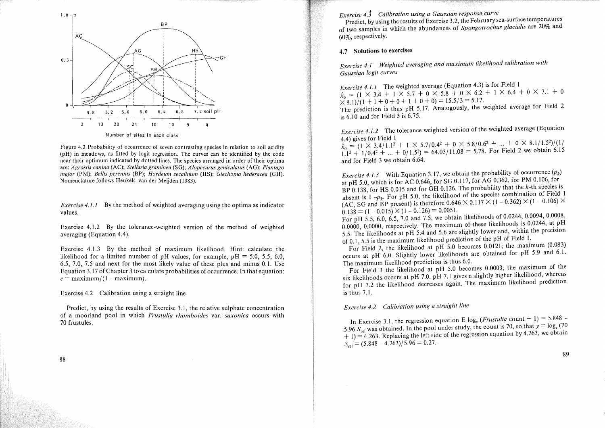

Figure 4.2 Probability of occurrence of seven contrasting species in relation to soil acidity (pH) in meadows, as fitted by logit regression. The curves can be identified by the code near their optimum indicated by dotted lines. The species arranged in order of their optima are: *Agrostis canina* (A C); *Stellaria graminea* (SG); *Alopecurus genicula/us* (AG); *Plantago major* (PM); *Bellis perennis* (BP); *Hordeum secalinum* (HS); *Glechoma hederacea* (GH). Nomenclature follows Heukels-van der Meijden (1983).

*Exercise 4.1.1* By the method of weighted averaging using the optima as indicator values.

Exercise 4.1.2 By the tolerance-weighted version of the method of weighted averaging (Equation 4.4).

Exercise 4.1.3 By the method of maximum likelihood. Hint: calculate the likelihood for a limited number of  $pH$  values, for example,  $pH = 5.0, 5.5, 6.0$ , 6.5, 7.0, 7.5 and next for the most likely value of these plus and minus 0.1. Use Equation 3.17 of Chapter 3 to calculate probabilities of occurrence. In that equation:  $c = \frac{1}{2}$  maximum/(1 – maximum).

Exercise 4.2 Calibration using a straight line

Predict, by using the results of Exercise 3.1, the relative sulphate concentration of a moorland pool in which *Frustulia rhomboides* var. *saxonica* occurs with 70 frustules.

*Exercise 4.3 Calibration using a Gaussian response curve* 

Predict, by using the results of Exercise 3.2, the February sea-surface temperatures of two samples in which the abundances of *Spongotrochus glacialis* are 20% and 60%, respectively.

### **4.7 Solutions** to exercises

*Exercise 4.1 Weighted averaging and maximum likelihood calibration with Gaussian logit curves* 

*Exercise 4.1.1* The weighted average (Equation 4.3) is for Field I *x*<sub>0</sub> = (1 × 3.4 + 1 × 5.7 + 0 × 5.8 + 0 × 6.2 + 1 × 6.4 + 0 × 7.1 + 0  $\angle (8.1)/(1 + 1 + 0 + 0 + 1 + 0 + 0) = 15.5/3 = 5.17.$ 

The prediction is thus pH 5.17. Analogously, the weighted average for Field 2 is 6.10 and for Field 3 is 6.75.

*Exercise 4.1.2* The tolerance weighted version of the weighted average (Equation

4.4) gives for Field 1<br>  $\hat{x}_0 = (1 \times 3.4/1.1^2 + 1 \times 5.7/0.4^2 + 0 \times 5.8/0.6^2 + ... + 0 \times 8.1/1.5^2)/(1/1.5^2)$  $1.1^2 + 1/0.4^2 + ... + 0/1.5^2 = 64.03/11.08 = 5.78$ . For Field 2 we obtain 6.15 and for Field 3 we obtain 6.64.

*Exercise 4.1.3* With Equation 3.17, we obtain the probability of occurrence  $(p_k)$ at pH 5.0, which is for AC 0.646, for SG 0.117, for AG 0.362, for PM 0.106, for BP 0.138, for HS 0.015 and for GH 0.126. The probability that the k-th species is absent is  $1 - p_k$ . For pH 5.0, the likelihood of the species combination of Field 1 (AC, SG and BP present) is therefore  $0.646 \times 0.117 \times (1 - 0.362) \times (1 - 0.106) \times$  $0.138 = (1 - 0.015) \times (1 - 0.126) = 0.0051.$ 

For pH 5.5, 6.0, 6.5, 7.0 and 7.5, we obtain likelihoods of 0.0244, 0.0094, 0.0008, 0.0000, 0.0000, respectively. The maximum of these likelihoods is 0.0244, at pH 5.5. The likelihoods at pH 5.4 and 5.6 are slightly lower and, within the precision of 0.1, 5.5 is the maximum likelihood prediction of the pH of Field I.

For Field 2, the likelihood at pH 5.0 becomes 0.0121; the maximum (0.083) occurs at pH 6.0. Slightly lower likelihoods are obtained for pH 5.9 and 6.1. The maximum likelihood prediction is thus 6.0.

For Field 3 the likelihood at pH 5.0 becomes 0.0003; the maximum of the six likelihoods occurs at pH 7.0. pH 7.1 gives a slightly higher likelihood, whereas for pH 7.2 the likelihood decreases again. The maximum likelihood prediction is thus 7.1.

# *Exercise 4.2 Calibration using a straight line*

In Exercise 3.1, the regression equation E log<sub>e</sub> (*Frustulia* count + 1) = 5.848 -5.96  $S_{\text{rel}}$  was obtained. In the pool under study, the count is 70, so that  $y = \log_e (70$  $+ 1$ ) = 4.263. Replacing the left side of the regression equation by 4.263, we obtain  $S_{\text{rel}} = (5.848 - 4.263)/5.96 = 0.27.$ 

88